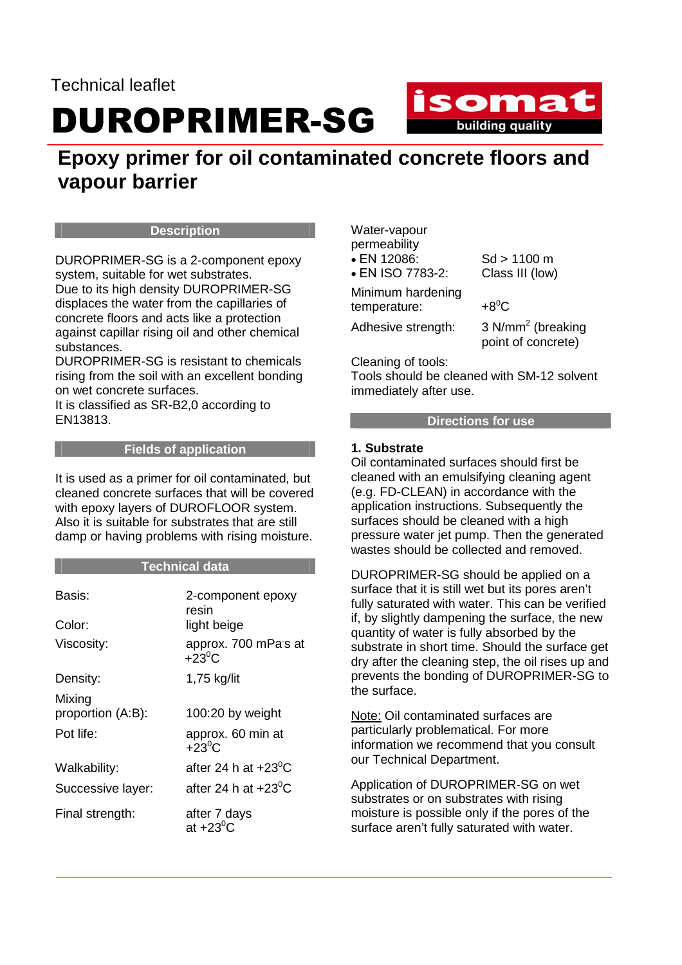## DUROPRIMER-SG

### isomat **Example 15 building quality**

### **Epoxy primer for oil contaminated concrete floors and vapour barrier**

#### **Description**

DUROPRIMER-SG is a 2-component epoxy system, suitable for wet substrates. Due to its high density DUROPRIMER-SG

displaces the water from the capillaries of concrete floors and acts like a protection against capillar rising oil and other chemical substances.

DUROPRIMER-SG is resistant to chemicals rising from the soil with an excellent bonding on wet concrete surfaces.

It is classified as SR-B2,0 according to EN13813.

#### **Fields of application**

It is used as a primer for oil contaminated, but cleaned concrete surfaces that will be covered with epoxy layers of DUROFLOOR system. Also it is suitable for substrates that are still damp or having problems with rising moisture.

#### **Technical data**

| Basis:            | 2-component epoxy<br>resin             |
|-------------------|----------------------------------------|
| Color:            | light beige                            |
| Viscosity:        | approx. 700 mPas at<br>$+23^{\circ}$ C |
| Density:          | 1,75 kg/lit                            |
| Mixing            |                                        |
| proportion (A:B): | 100:20 by weight                       |
| Pot life:         | approx. 60 min at<br>$+23^{\circ}$ C   |
| Walkability:      | after 24 h at $+23^{\circ}$ C          |
| Successive layer: | after 24 h at $+23^{\circ}$ C          |
| Final strength:   | after 7 days<br>at $+23^0$ C           |

Water-vapour permeability

• ΕΝ 12086: Sd > 1100 m

• EN ISO 7783-2: Class III (low)

Minimum hardening temperature:  $+8^0C$ 

Adhesive strength:

3  $N/mm^2$  (breaking point of concrete)

Cleaning of tools:

Tools should be cleaned with SM-12 solvent immediately after use.

#### **Directions for use**

#### **1. Substrate**

Oil contaminated surfaces should first be cleaned with an emulsifying cleaning agent (e.g. FD-CLEAN) in accordance with the application instructions. Subsequently the surfaces should be cleaned with a high pressure water jet pump. Then the generated wastes should be collected and removed.

DUROPRIMER-SG should be applied on a surface that it is still wet but its pores aren't fully saturated with water. This can be verified if, by slightly dampening the surface, the new quantity of water is fully absorbed by the substrate in short time. Should the surface get dry after the cleaning step, the oil rises up and prevents the bonding of DUROPRIMER-SG to the surface.

Note: Oil contaminated surfaces are particularly problematical. For more information we recommend that you consult our Technical Department.

Application of DUROPRIMER-SG on wet substrates or on substrates with rising moisture is possible only if the pores of the surface aren't fully saturated with water.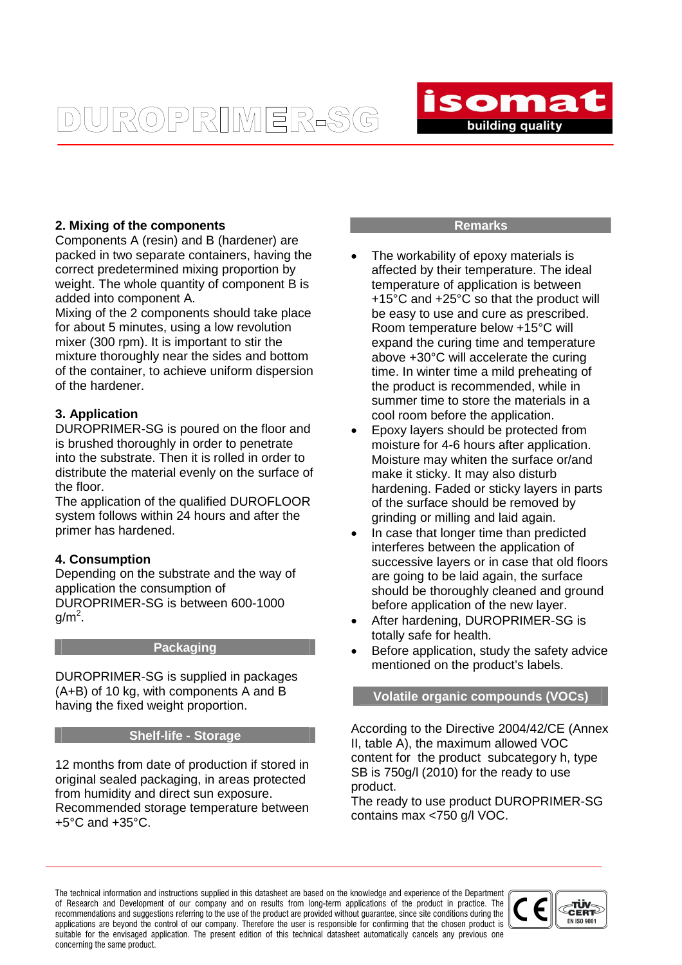## **DUROPRIMER-S(**



#### **2. Mixing of the components**

Components A (resin) and B (hardener) are packed in two separate containers, having the correct predetermined mixing proportion by weight. The whole quantity of component B is added into component A.

Mixing of the 2 components should take place for about 5 minutes, using a low revolution mixer (300 rpm). It is important to stir the mixture thoroughly near the sides and bottom of the container, to achieve uniform dispersion of the hardener.

#### **3. Application**

DUROPRIMER-SG is poured on the floor and is brushed thoroughly in order to penetrate into the substrate. Then it is rolled in order to distribute the material evenly on the surface of the floor.

The application of the qualified DUROFLOOR system follows within 24 hours and after the primer has hardened.

#### **4. Consumption**

Depending on the substrate and the way of application the consumption of DUROPRIMER-SG is between 600-1000  $g/m<sup>2</sup>$ .

#### **Packaging**

DUROPRIMER-SG is supplied in packages (A+B) of 10 kg, with components A and B having the fixed weight proportion.

#### **Shelf-life - Storage**

12 months from date of production if stored in original sealed packaging, in areas protected from humidity and direct sun exposure. Recommended storage temperature between +5°C and +35°C.

#### **Remarks**

- The workability of epoxy materials is affected by their temperature. The ideal temperature of application is between +15°C and +25°C so that the product will be easy to use and cure as prescribed. Room temperature below +15°C will expand the curing time and temperature above +30°C will accelerate the curing time. In winter time a mild preheating of the product is recommended, while in summer time to store the materials in a cool room before the application.
- Epoxy layers should be protected from moisture for 4-6 hours after application. Moisture may whiten the surface or/and make it sticky. It may also disturb hardening. Faded or sticky layers in parts of the surface should be removed by grinding or milling and laid again.
- In case that longer time than predicted interferes between the application of successive layers or in case that old floors are going to be laid again, the surface should be thoroughly cleaned and ground before application of the new layer.
- After hardening, DUROPRIMER-SG is totally safe for health.
- Before application, study the safety advice mentioned on the product's labels.

#### **Volatile organic compounds (VOCs)**

According to the Directive 2004/42/CE (Annex II, table A), the maximum allowed VOC content for the product subcategory h, type SB is 750g/l (2010) for the ready to use product.

The ready to use product DUROPRIMER-SG contains max <750 g/l VOC.

The technical information and instructions supplied in this datasheet are based on the knowledge and experience of the Department of Research and Development of our company and on results from long-term applications of the product in practice. The recommendations and suggestions referring to the use of the product are provided without guarantee, since site conditions during the applications are beyond the control of our company. Therefore the user is responsible for confirming that the chosen product is suitable for the envisaged application. The present edition of this technical datasheet automatically cancels any previous one concerning the same product.